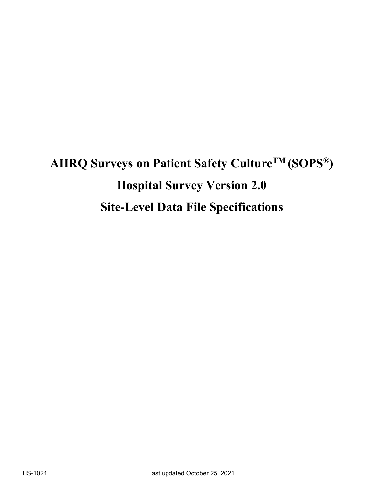# **AHRQ Surveys on Patient Safety CultureTM (SOPS®) Hospital Survey Version 2.0 Site-Level Data File Specifications**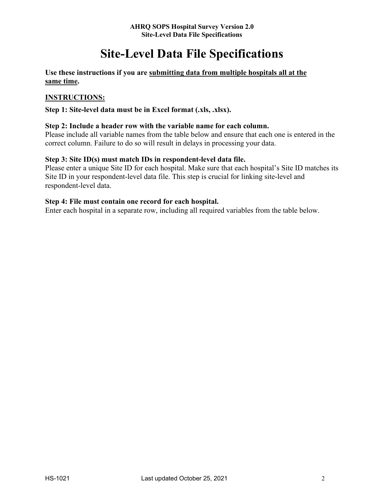# **Site-Level Data File Specifications**

**Use these instructions if you are submitting data from multiple hospitals all at the same time.**

# **INSTRUCTIONS:**

# **Step 1: Site-level data must be in Excel format (.xls, .xlsx).**

# **Step 2: Include a header row with the variable name for each column.**

Please include all variable names from the table below and ensure that each one is entered in the correct column. Failure to do so will result in delays in processing your data.

# **Step 3: Site ID(s) must match IDs in respondent-level data file.**

Please enter a unique Site ID for each hospital. Make sure that each hospital's Site ID matches its Site ID in your respondent-level data file. This step is crucial for linking site-level and respondent-level data.

#### **Step 4: File must contain one record for each hospital.**

Enter each hospital in a separate row, including all required variables from the table below.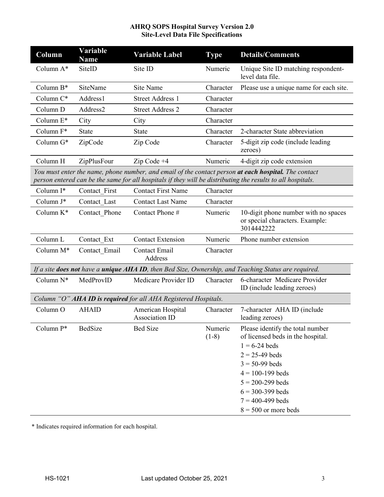| Column                                                                                                                                                                                                              | <b>Variable</b><br><b>Name</b> | <b>Variable Label</b>                      | <b>Type</b>        | <b>Details/Comments</b>                                                                                                                                                              |  |  |
|---------------------------------------------------------------------------------------------------------------------------------------------------------------------------------------------------------------------|--------------------------------|--------------------------------------------|--------------------|--------------------------------------------------------------------------------------------------------------------------------------------------------------------------------------|--|--|
| Column A*                                                                                                                                                                                                           | SiteID                         | Site ID                                    | Numeric            | Unique Site ID matching respondent-<br>level data file.                                                                                                                              |  |  |
| Column B*                                                                                                                                                                                                           | SiteName                       | Site Name                                  | Character          | Please use a unique name for each site.                                                                                                                                              |  |  |
| Column C*                                                                                                                                                                                                           | Address1                       | <b>Street Address 1</b>                    | Character          |                                                                                                                                                                                      |  |  |
| Column D                                                                                                                                                                                                            | Address2                       | <b>Street Address 2</b>                    | Character          |                                                                                                                                                                                      |  |  |
| Column E*                                                                                                                                                                                                           | City                           | City                                       | Character          |                                                                                                                                                                                      |  |  |
| Column F*                                                                                                                                                                                                           | <b>State</b>                   | <b>State</b>                               | Character          | 2-character State abbreviation                                                                                                                                                       |  |  |
| Column G*                                                                                                                                                                                                           | ZipCode                        | Zip Code                                   | Character          | 5-digit zip code (include leading<br>zeroes)                                                                                                                                         |  |  |
| Column H                                                                                                                                                                                                            | ZipPlusFour                    | $Zip Code +4$                              | Numeric            | 4-digit zip code extension                                                                                                                                                           |  |  |
| You must enter the name, phone number, and email of the contact person at each hospital. The contact<br>person entered can be the same for all hospitals if they will be distributing the results to all hospitals. |                                |                                            |                    |                                                                                                                                                                                      |  |  |
| Column I*                                                                                                                                                                                                           | Contact First                  | <b>Contact First Name</b>                  | Character          |                                                                                                                                                                                      |  |  |
| Column J*                                                                                                                                                                                                           | Contact Last                   | <b>Contact Last Name</b>                   | Character          |                                                                                                                                                                                      |  |  |
| Column K*                                                                                                                                                                                                           | Contact Phone                  | Contact Phone #                            | Numeric            | 10-digit phone number with no spaces<br>or special characters. Example:<br>3014442222                                                                                                |  |  |
| Column <sub>L</sub>                                                                                                                                                                                                 | Contact Ext                    | <b>Contact Extension</b>                   | Numeric            | Phone number extension                                                                                                                                                               |  |  |
| Column M*                                                                                                                                                                                                           | Contact Email                  | Contact Email<br>Address                   | Character          |                                                                                                                                                                                      |  |  |
|                                                                                                                                                                                                                     |                                |                                            |                    | If a site does not have a unique AHA ID, then Bed Size, Ownership, and Teaching Status are required.                                                                                 |  |  |
| Column N*                                                                                                                                                                                                           | MedProvID                      | Medicare Provider ID                       | Character          | 6-character Medicare Provider<br>ID (include leading zeroes)                                                                                                                         |  |  |
| Column "O" AHA ID is required for all AHA Registered Hospitals.                                                                                                                                                     |                                |                                            |                    |                                                                                                                                                                                      |  |  |
| Column O                                                                                                                                                                                                            | <b>AHAID</b>                   | American Hospital<br><b>Association ID</b> | Character          | 7-character AHA ID (include<br>leading zeroes)                                                                                                                                       |  |  |
| Column P* BedSize                                                                                                                                                                                                   |                                | <b>Bed Size</b>                            | Numeric<br>$(1-8)$ | Please identify the total number<br>of licensed beds in the hospital.<br>$1 = 6 - 24$ beds<br>$2 = 25-49$ beds<br>$3 = 50 - 99$ beds<br>$4 = 100 - 199$ beds<br>$5 = 200 - 299$ beds |  |  |
|                                                                                                                                                                                                                     |                                |                                            |                    | $6 = 300 - 399$ beds<br>$7 = 400 - 499$ beds                                                                                                                                         |  |  |
|                                                                                                                                                                                                                     |                                |                                            |                    | $8 = 500$ or more beds                                                                                                                                                               |  |  |

\* Indicates required information for each hospital.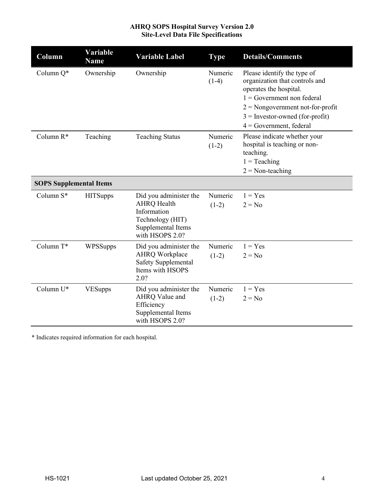| Column                         | Variable<br><b>Name</b> | <b>Variable Label</b>                                                                                                    | <b>Type</b>        | <b>Details/Comments</b>                                                                                                                                                                                                         |  |
|--------------------------------|-------------------------|--------------------------------------------------------------------------------------------------------------------------|--------------------|---------------------------------------------------------------------------------------------------------------------------------------------------------------------------------------------------------------------------------|--|
| Column $Q^*$                   | Ownership               | Ownership                                                                                                                | Numeric<br>$(1-4)$ | Please identify the type of<br>organization that controls and<br>operates the hospital.<br>$1 = Government$ non federal<br>$2 =$ Nongovernment not-for-profit<br>$3 =$ Investor-owned (for-profit)<br>$4 = Government, federal$ |  |
| Column R*                      | Teaching                | <b>Teaching Status</b>                                                                                                   | Numeric<br>$(1-2)$ | Please indicate whether your<br>hospital is teaching or non-<br>teaching.<br>$1 = Teaching$<br>$2 = \text{Non-teaching}$                                                                                                        |  |
| <b>SOPS Supplemental Items</b> |                         |                                                                                                                          |                    |                                                                                                                                                                                                                                 |  |
| Column S*                      | <b>HITSupps</b>         | Did you administer the<br><b>AHRQ</b> Health<br>Information<br>Technology (HIT)<br>Supplemental Items<br>with HSOPS 2.0? | Numeric<br>$(1-2)$ | $1 = Yes$<br>$2 = No$                                                                                                                                                                                                           |  |
| Column T*                      | WPSSupps                | Did you administer the<br><b>AHRQ Workplace</b><br>Safety Supplemental<br>Items with HSOPS<br>2.0?                       | Numeric<br>$(1-2)$ | $1 = Yes$<br>$2 = No$                                                                                                                                                                                                           |  |
| Column U*                      | <b>VESupps</b>          | Did you administer the<br>AHRQ Value and<br>Efficiency<br>Supplemental Items<br>with HSOPS 2.0?                          | Numeric<br>$(1-2)$ | $1 = Yes$<br>$2 = No$                                                                                                                                                                                                           |  |

\* Indicates required information for each hospital.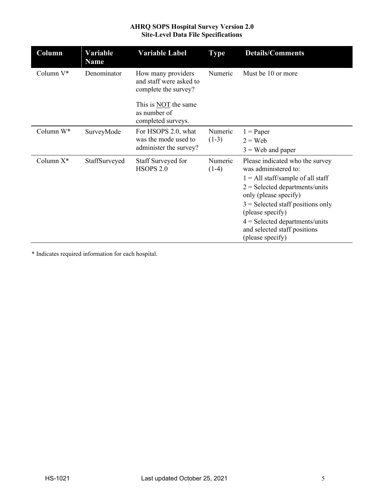| Column       | Variable<br><b>Name</b> | <b>Variable Label</b>                                                                                         | <b>Type</b>        | <b>Details/Comments</b>                                                                                                                                                                                                                                                                                        |
|--------------|-------------------------|---------------------------------------------------------------------------------------------------------------|--------------------|----------------------------------------------------------------------------------------------------------------------------------------------------------------------------------------------------------------------------------------------------------------------------------------------------------------|
| Column V*    | Denominator             | How many providers<br>and staff were asked to<br>complete the survey?<br>This is NOT the same<br>as number of | Numeric            | Must be 10 or more                                                                                                                                                                                                                                                                                             |
|              |                         | completed surveys.                                                                                            |                    |                                                                                                                                                                                                                                                                                                                |
| Column W*    | SurveyMode              | For HSOPS 2.0, what<br>was the mode used to<br>administer the survey?                                         | Numeric<br>$(1-3)$ | $1 = Paper$<br>$2 =$ Web<br>$3$ = Web and paper                                                                                                                                                                                                                                                                |
| Column $X^*$ | StaffSurveyed           | Staff Surveyed for<br>HSOPS <sub>2.0</sub>                                                                    | Numeric<br>$(1-4)$ | Please indicated who the survey<br>was administered to:<br>$1 = All staff/sample of all staff$<br>$2 =$ Selected departments/units<br>only (please specify)<br>$3$ = Selected staff positions only<br>(please specify)<br>$4 =$ Selected departments/units<br>and selected staff positions<br>(please specify) |

\* Indicates required information for each hospital.